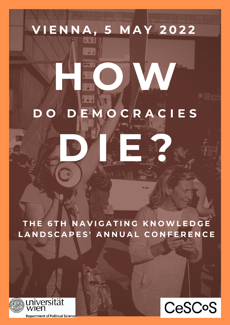# **V I E N N A , 5 M A Y 2 0 2 2** $181$ **H O W D O D E M O C R A C I E S D I E ?**

**T H E 6 T H N A V I G A T I N G K N O W L E D G E** LANDSCAPES' ANNUAL CONFERENCE





**Department of Political Science** 

universität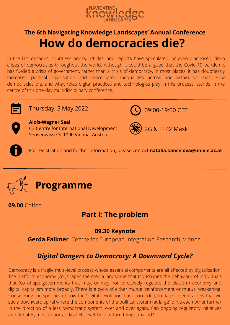

# **How do democracies die? The 6th Navigating Knowledge Landscapes' Annual Conference**

In the last decades, countless books, articles, and reports have speculated, or even diagnosed, deep crises of democracies throughout the world. Although it could be argued that the Covid-19 pandemic has fuelled a crisis of government, rather than a crisis of democracy, in most places, it has doubtlessly increased political polarisation and exacerbated inequalities across and within societies. How democracies die, and what roles digital practices and technologies play in this process, stands in the centre of this one-day multidisciplinary conference.



Thursday, 5 May 2022 **09:00-19:00 CET** 



#### **Alois-Wagner Saal** C3 Centre for International Development Sensengasse 3, 1090 Vienna, Austria



2G & FFP2 Mask

For registration and further information, please contact **natalia.kancelova@univie.ac.at**



**09.00** Coffee

#### **Part I: The problem**

#### **09.30 Keynote**

**Gerda Falkner**, Centre for European Integration Research, Vienna

## *Digital Dangers to Democracy: A Downward Cycle?*

Democracy is a fragile multi-level process whose essential components are all affected by digitalisation. The platform economy (co-)shapes the media landscape that (co-)shapes the behaviour of individuals that (co-)shape governments that may, or may not, effectively regulate the platform economy and digital capitalism more broadly. There is a cycle of either mutual reinforcement or mutual weakening. Considering the specifics of how the 'digital revolution' has proceeded, to date, it seems likely that we see a downward spiral where the components of the political system (at large) drive each other further in the direction of a less democratic system, over and over again. Can ongoing regulatory initiatives and debates, most importantly at EU level, help to turn things around?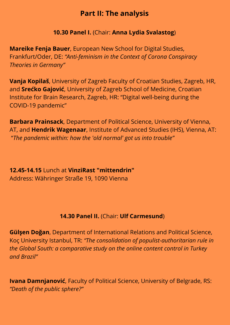#### **Part II: The analysis**

#### **10.30 Panel I.** (Chair: **Anna Lydia Svalastog**)

**Mareike Fenja Bauer**, European New School for Digital Studies, Frankfurt/Oder, DE: *"Anti-feminism in the Context of Corona Conspiracy Theories in Germany"*

**Vanja Kopilaš**, University of Zagreb Faculty of Croatian Studies, Zagreb, HR, and **Srećko Gajović**, University of Zagreb School of Medicine, Croatian Institute for Brain Research, Zagreb, HR: "Digital well-being during the COVID-19 pandemic"

**Barbara Prainsack**, Department of Political Science, University of Vienna, AT, and **Hendrik Wagenaar**, Institute of Advanced Studies (IHS), Vienna, AT: "*The pandemic within: how the 'old normal' got us into trouble"*

**12.45-14.15** Lunch at **VinziRast "mittendrin"** Address: Währinger Straße 19, 1090 Vienna

#### **14.30 Panel II.** (Chair: **Ulf Carmesund**)

**Gülşen Doğan**, Department of International Relations and Political Science, Koç University Istanbul, TR: *"The consolidation of populist-authoritarian rule in the Global South: a comparative study on the online content control in Turkey and Brazil"*

**Ivana Damnjanović**, Faculty of Political Science, University of Belgrade, RS: *"Death of the public sphere?"*